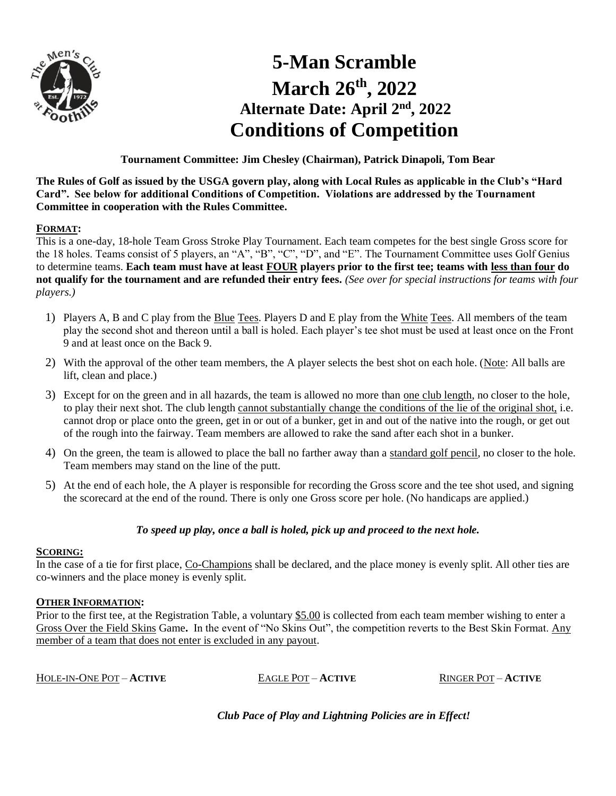

# **5-Man Scramble March 26 th, 2022 Alternate Date: April 2 nd, 2022 Conditions of Competition**

**Tournament Committee: Jim Chesley (Chairman), Patrick Dinapoli, Tom Bear**

**The Rules of Golf as issued by the USGA govern play, along with Local Rules as applicable in the Club's "Hard Card". See below for additional Conditions of Competition. Violations are addressed by the Tournament Committee in cooperation with the Rules Committee.**

## **FORMAT:**

This is a one-day, 18-hole Team Gross Stroke Play Tournament. Each team competes for the best single Gross score for the 18 holes. Teams consist of 5 players, an "A", "B", "C", "D", and "E". The Tournament Committee uses Golf Genius to determine teams. **Each team must have at least FOUR players prior to the first tee; teams with less than four do not qualify for the tournament and are refunded their entry fees.** *(See over for special instructions for teams with four players.)*

- 1) Players A, B and C play from the Blue Tees. Players D and E play from the White Tees. All members of the team play the second shot and thereon until a ball is holed. Each player's tee shot must be used at least once on the Front 9 and at least once on the Back 9.
- 2) With the approval of the other team members, the A player selects the best shot on each hole. (Note: All balls are lift, clean and place.)
- 3) Except for on the green and in all hazards, the team is allowed no more than one club length, no closer to the hole, to play their next shot. The club length cannot substantially change the conditions of the lie of the original shot, i.e. cannot drop or place onto the green, get in or out of a bunker, get in and out of the native into the rough, or get out of the rough into the fairway. Team members are allowed to rake the sand after each shot in a bunker.
- 4) On the green, the team is allowed to place the ball no farther away than a standard golf pencil, no closer to the hole. Team members may stand on the line of the putt.
- 5) At the end of each hole, the A player is responsible for recording the Gross score and the tee shot used, and signing the scorecard at the end of the round. There is only one Gross score per hole. (No handicaps are applied.)

# *To speed up play, once a ball is holed, pick up and proceed to the next hole.*

### **SCORING:**

In the case of a tie for first place, Co-Champions shall be declared, and the place money is evenly split. All other ties are co-winners and the place money is evenly split.

# **OTHER INFORMATION:**

Prior to the first tee, at the Registration Table, a voluntary \$5.00 is collected from each team member wishing to enter a Gross Over the Field Skins Game**.** In the event of "No Skins Out", the competition reverts to the Best Skin Format. Any member of a team that does not enter is excluded in any payout.

HOLE-IN-ONE POT – **ACTIVE** EAGLE POT – **ACTIVE** RINGER POT – **ACTIVE**

*Club Pace of Play and Lightning Policies are in Effect!*